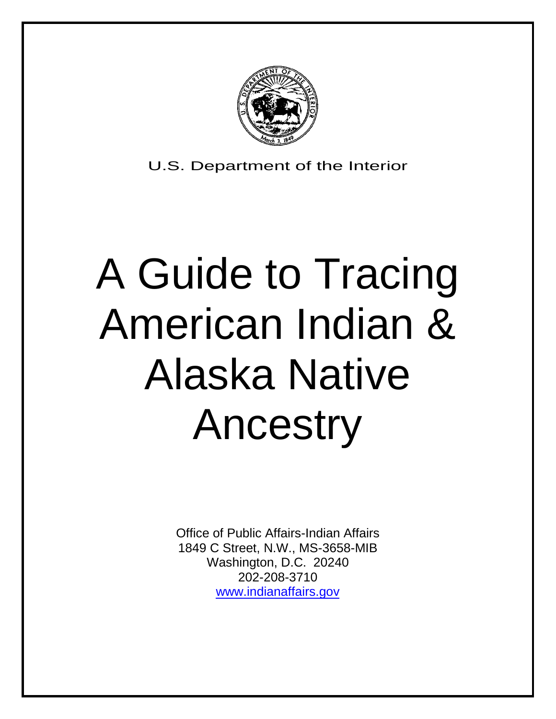

U.S. Department of the Interior

# A Guide to Tracing American Indian & Alaska Native Ancestry

Office of Public Affairs-Indian Affairs 1849 C Street, N.W., MS-3658-MIB Washington, D.C. 20240 202-208-3710 [www.indianaffairs.gov](http://www.indianaffairs.gov/)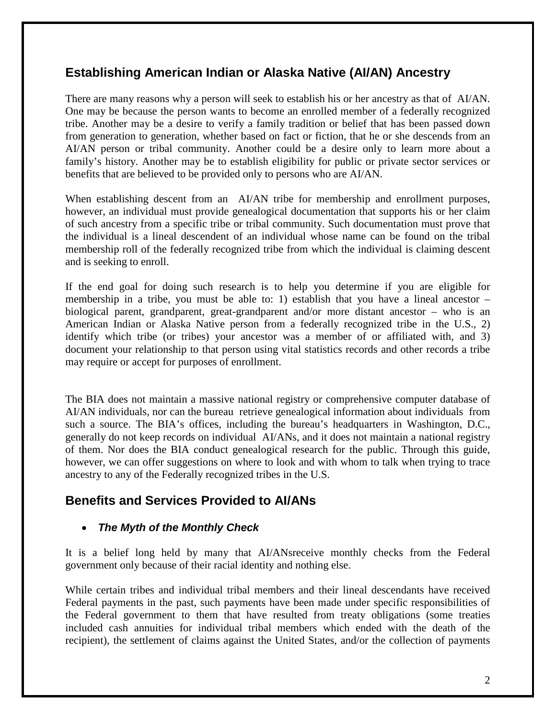# **Establishing American Indian or Alaska Native (AI/AN) Ancestry**

There are many reasons why a person will seek to establish his or her ancestry as that of AI/AN. One may be because the person wants to become an enrolled member of a federally recognized tribe. Another may be a desire to verify a family tradition or belief that has been passed down from generation to generation, whether based on fact or fiction, that he or she descends from an AI/AN person or tribal community. Another could be a desire only to learn more about a family's history. Another may be to establish eligibility for public or private sector services or benefits that are believed to be provided only to persons who are AI/AN.

When establishing descent from an AI/AN tribe for membership and enrollment purposes, however, an individual must provide genealogical documentation that supports his or her claim of such ancestry from a specific tribe or tribal community. Such documentation must prove that the individual is a lineal descendent of an individual whose name can be found on the tribal membership roll of the federally recognized tribe from which the individual is claiming descent and is seeking to enroll.

If the end goal for doing such research is to help you determine if you are eligible for membership in a tribe, you must be able to: 1) establish that you have a lineal ancestor – biological parent, grandparent, great-grandparent and/or more distant ancestor – who is an American Indian or Alaska Native person from a federally recognized tribe in the U.S., 2) identify which tribe (or tribes) your ancestor was a member of or affiliated with, and 3) document your relationship to that person using vital statistics records and other records a tribe may require or accept for purposes of enrollment.

The BIA does not maintain a massive national registry or comprehensive computer database of AI/AN individuals, nor can the bureau retrieve genealogical information about individuals from such a source. The BIA's offices, including the bureau's headquarters in Washington, D.C., generally do not keep records on individual AI/ANs, and it does not maintain a national registry of them. Nor does the BIA conduct genealogical research for the public. Through this guide, however, we can offer suggestions on where to look and with whom to talk when trying to trace ancestry to any of the Federally recognized tribes in the U.S.

# **Benefits and Services Provided to AI/ANs**

#### • *The Myth of the Monthly Check*

It is a belief long held by many that AI/ANsreceive monthly checks from the Federal government only because of their racial identity and nothing else.

While certain tribes and individual tribal members and their lineal descendants have received Federal payments in the past, such payments have been made under specific responsibilities of the Federal government to them that have resulted from treaty obligations (some treaties included cash annuities for individual tribal members which ended with the death of the recipient), the settlement of claims against the United States, and/or the collection of payments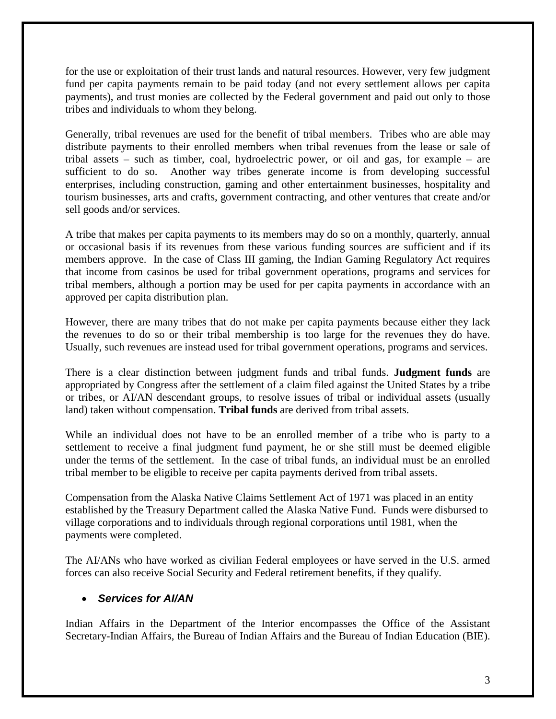for the use or exploitation of their trust lands and natural resources. However, very few judgment fund per capita payments remain to be paid today (and not every settlement allows per capita payments), and trust monies are collected by the Federal government and paid out only to those tribes and individuals to whom they belong.

Generally, tribal revenues are used for the benefit of tribal members. Tribes who are able may distribute payments to their enrolled members when tribal revenues from the lease or sale of tribal assets – such as timber, coal, hydroelectric power, or oil and gas, for example – are sufficient to do so. Another way tribes generate income is from developing successful enterprises, including construction, gaming and other entertainment businesses, hospitality and tourism businesses, arts and crafts, government contracting, and other ventures that create and/or sell goods and/or services.

A tribe that makes per capita payments to its members may do so on a monthly, quarterly, annual or occasional basis if its revenues from these various funding sources are sufficient and if its members approve. In the case of Class III gaming, the Indian Gaming Regulatory Act requires that income from casinos be used for tribal government operations, programs and services for tribal members, although a portion may be used for per capita payments in accordance with an approved per capita distribution plan.

However, there are many tribes that do not make per capita payments because either they lack the revenues to do so or their tribal membership is too large for the revenues they do have. Usually, such revenues are instead used for tribal government operations, programs and services.

There is a clear distinction between judgment funds and tribal funds. **Judgment funds** are appropriated by Congress after the settlement of a claim filed against the United States by a tribe or tribes, or AI/AN descendant groups, to resolve issues of tribal or individual assets (usually land) taken without compensation. **Tribal funds** are derived from tribal assets.

While an individual does not have to be an enrolled member of a tribe who is party to a settlement to receive a final judgment fund payment, he or she still must be deemed eligible under the terms of the settlement. In the case of tribal funds, an individual must be an enrolled tribal member to be eligible to receive per capita payments derived from tribal assets.

Compensation from the Alaska Native Claims Settlement Act of 1971 was placed in an entity established by the Treasury Department called the Alaska Native Fund. Funds were disbursed to village corporations and to individuals through regional corporations until 1981, when the payments were completed.

The AI/ANs who have worked as civilian Federal employees or have served in the U.S. armed forces can also receive Social Security and Federal retirement benefits, if they qualify.

## • *0BServices for AI/AN*

Indian Affairs in the Department of the Interior encompasses the Office of the Assistant Secretary-Indian Affairs, the Bureau of Indian Affairs and the Bureau of Indian Education (BIE).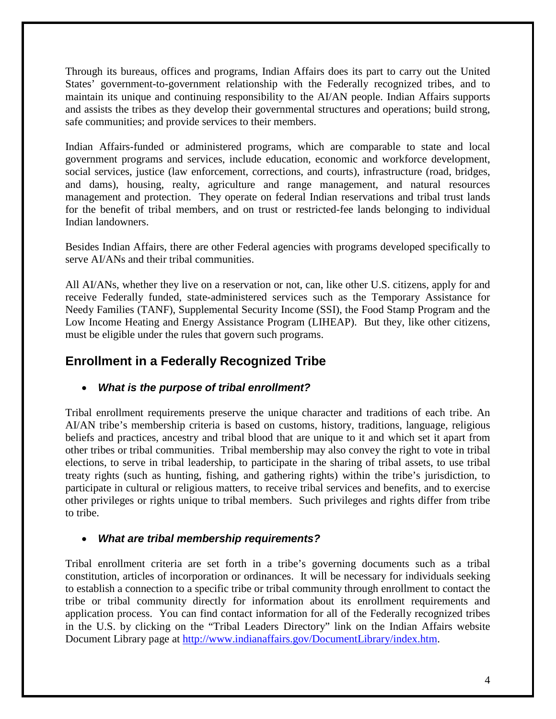Through its bureaus, offices and programs, Indian Affairs does its part to carry out the United States' government-to-government relationship with the Federally recognized tribes, and to maintain its unique and continuing responsibility to the AI/AN people. Indian Affairs supports and assists the tribes as they develop their governmental structures and operations; build strong, safe communities; and provide services to their members.

Indian Affairs-funded or administered programs, which are comparable to state and local government programs and services, include education, economic and workforce development, social services, justice (law enforcement, corrections, and courts), infrastructure (road, bridges, and dams), housing, realty, agriculture and range management, and natural resources management and protection. They operate on federal Indian reservations and tribal trust lands for the benefit of tribal members, and on trust or restricted-fee lands belonging to individual Indian landowners.

Besides Indian Affairs, there are other Federal agencies with programs developed specifically to serve AI/ANs and their tribal communities.

All AI/ANs, whether they live on a reservation or not, can, like other U.S. citizens, apply for and receive Federally funded, state-administered services such as the Temporary Assistance for Needy Families (TANF), Supplemental Security Income (SSI), the Food Stamp Program and the Low Income Heating and Energy Assistance Program (LIHEAP). But they, like other citizens, must be eligible under the rules that govern such programs.

# *4B***Enrollment in a Federally Recognized Tribe**

## • *What is the purpose of tribal enrollment?*

Tribal enrollment requirements preserve the unique character and traditions of each tribe. An AI/AN tribe's membership criteria is based on customs, history, traditions, language, religious beliefs and practices, ancestry and tribal blood that are unique to it and which set it apart from other tribes or tribal communities. Tribal membership may also convey the right to vote in tribal elections, to serve in tribal leadership, to participate in the sharing of tribal assets, to use tribal treaty rights (such as hunting, fishing, and gathering rights) within the tribe's jurisdiction, to participate in cultural or religious matters, to receive tribal services and benefits, and to exercise other privileges or rights unique to tribal members. Such privileges and rights differ from tribe to tribe.

#### • *What are tribal membership requirements?*

Tribal enrollment criteria are set forth in a tribe's governing documents such as a tribal constitution, articles of incorporation or ordinances. It will be necessary for individuals seeking to establish a connection to a specific tribe or tribal community through enrollment to contact the tribe or tribal community directly for information about its enrollment requirements and application process. You can find contact information for all of the Federally recognized tribes in the U.S. by clicking on the "Tribal Leaders Directory" link on the Indian Affairs website Document Library page at [http://www.indianaffairs.gov/DocumentLibrary/index.htm.](http://www.indianaffairs.gov/DocumentLibrary/index.htm)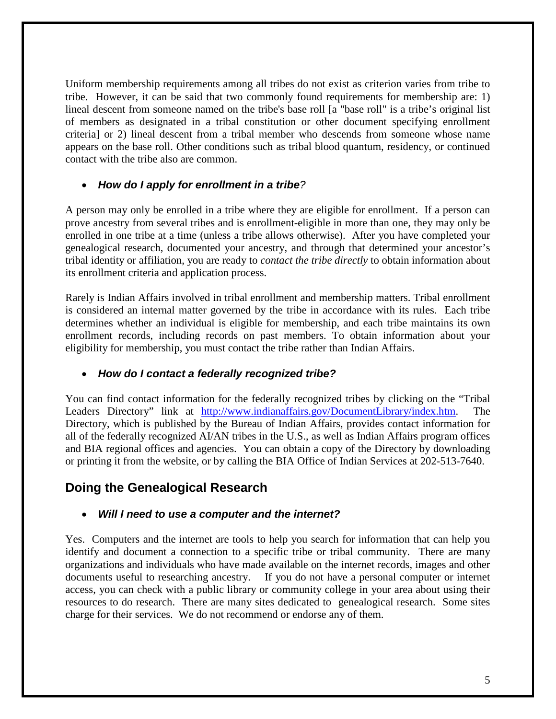Uniform membership requirements among all tribes do not exist as criterion varies from tribe to tribe. However, it can be said that two commonly found requirements for membership are: 1) lineal descent from someone named on the tribe's base roll [a "base roll" is a tribe's original list of members as designated in a tribal constitution or other document specifying enrollment criteria] or 2) lineal descent from a tribal member who descends from someone whose name appears on the base roll. Other conditions such as tribal blood quantum, residency, or continued contact with the tribe also are common.

#### • *How do I apply for enrollment in a tribe?*

A person may only be enrolled in a tribe where they are eligible for enrollment. If a person can prove ancestry from several tribes and is enrollment-eligible in more than one, they may only be enrolled in one tribe at a time (unless a tribe allows otherwise). After you have completed your genealogical research, documented your ancestry, and through that determined your ancestor's tribal identity or affiliation, you are ready to *contact the tribe directly* to obtain information about its enrollment criteria and application process.

Rarely is Indian Affairs involved in tribal enrollment and membership matters. Tribal enrollment is considered an internal matter governed by the tribe in accordance with its rules. Each tribe determines whether an individual is eligible for membership, and each tribe maintains its own enrollment records, including records on past members. To obtain information about your eligibility for membership, you must contact the tribe rather than Indian Affairs.

#### • *How do I contact a federally recognized tribe?*

You can find contact information for the federally recognized tribes by clicking on the "Tribal Leaders Directory" link at [http://www.indianaffairs.gov/DocumentLibrary/index.htm.](http://www.indianaffairs.gov/DocumentLibrary/index.htm) The Directory, which is published by the Bureau of Indian Affairs, provides contact information for all of the federally recognized AI/AN tribes in the U.S., as well as Indian Affairs program offices and BIA regional offices and agencies. You can obtain a copy of the Directory by downloading or printing it from the website, or by calling the BIA Office of Indian Services at 202-513-7640.

# **Doing the Genealogical Research**

#### • *Will I need to use a computer and the internet?*

Yes. Computers and the internet are tools to help you search for information that can help you identify and document a connection to a specific tribe or tribal community. There are many organizations and individuals who have made available on the internet records, images and other documents useful to researching ancestry. If you do not have a personal computer or internet access, you can check with a public library or community college in your area about using their resources to do research. There are many sites dedicated to genealogical research. Some sites charge for their services. We do not recommend or endorse any of them.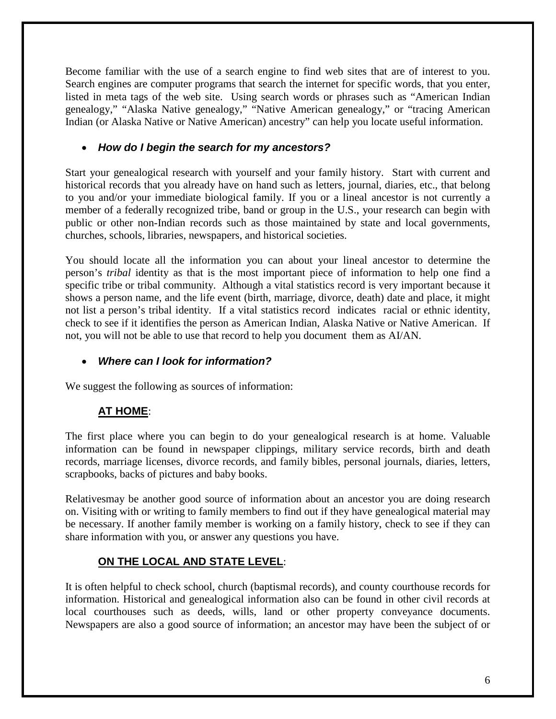Become familiar with the use of a search engine to find web sites that are of interest to you. Search engines are computer programs that search the internet for specific words, that you enter, listed in meta tags of the web site. Using search words or phrases such as "American Indian genealogy," "Alaska Native genealogy," "Native American genealogy," or "tracing American Indian (or Alaska Native or Native American) ancestry" can help you locate useful information.

#### • *How do I begin the search for my ancestors?*

Start your genealogical research with yourself and your family history. Start with current and historical records that you already have on hand such as letters, journal, diaries, etc., that belong to you and/or your immediate biological family. If you or a lineal ancestor is not currently a member of a federally recognized tribe, band or group in the U.S., your research can begin with public or other non-Indian records such as those maintained by state and local governments, churches, schools, libraries, newspapers, and historical societies.

You should locate all the information you can about your lineal ancestor to determine the person's *tribal* identity as that is the most important piece of information to help one find a specific tribe or tribal community. Although a vital statistics record is very important because it shows a person name, and the life event (birth, marriage, divorce, death) date and place, it might not list a person's tribal identity. If a vital statistics record indicates racial or ethnic identity, check to see if it identifies the person as American Indian, Alaska Native or Native American. If not, you will not be able to use that record to help you document them as AI/AN.

## • *Where can I look for information?*

We suggest the following as sources of information:

## **AT HOME:**

The first place where you can begin to do your genealogical research is at home. Valuable information can be found in newspaper clippings, military service records, birth and death records, marriage licenses, divorce records, and family bibles, personal journals, diaries, letters, scrapbooks, backs of pictures and baby books.

Relativesmay be another good source of information about an ancestor you are doing research on. Visiting with or writing to family members to find out if they have genealogical material may be necessary. If another family member is working on a family history, check to see if they can share information with you, or answer any questions you have.

## **ON THE LOCAL AND STATE LEVEL:**

It is often helpful to check school, church (baptismal records), and county courthouse records for information. Historical and genealogical information also can be found in other civil records at local courthouses such as deeds, wills, land or other property conveyance documents. Newspapers are also a good source of information; an ancestor may have been the subject of or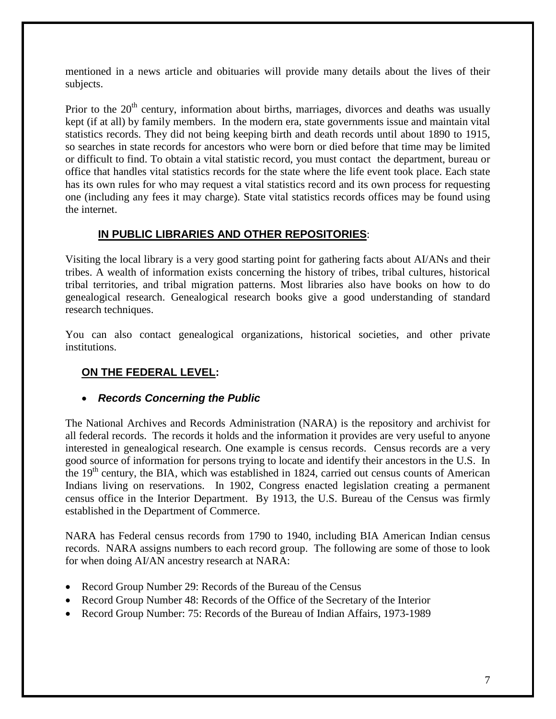mentioned in a news article and obituaries will provide many details about the lives of their subjects.

Prior to the  $20<sup>th</sup>$  century, information about births, marriages, divorces and deaths was usually kept (if at all) by family members. In the modern era, state governments issue and maintain vital statistics records. They did not being keeping birth and death records until about 1890 to 1915, so searches in state records for ancestors who were born or died before that time may be limited or difficult to find. To obtain a vital statistic record, you must contact the department, bureau or office that handles vital statistics records for the state where the life event took place. Each state has its own rules for who may request a vital statistics record and its own process for requesting one (including any fees it may charge). State vital statistics records offices may be found using the internet.

## **IN PUBLIC LIBRARIES AND OTHER REPOSITORIES:**

Visiting the local library is a very good starting point for gathering facts about AI/ANs and their tribes. A wealth of information exists concerning the history of tribes, tribal cultures, historical tribal territories, and tribal migration patterns. Most libraries also have books on how to do genealogical research. Genealogical research books give a good understanding of standard research techniques.

You can also contact genealogical organizations, historical societies, and other private institutions.

## **ON THE FEDERAL LEVEL:**

#### • *Records Concerning the Public*

The National Archives and Records Administration (NARA) is the repository and archivist for all federal records. The records it holds and the information it provides are very useful to anyone interested in genealogical research. One example is census records. Census records are a very good source of information for persons trying to locate and identify their ancestors in the U.S. In the  $19<sup>th</sup>$  century, the BIA, which was established in 1824, carried out census counts of American Indians living on reservations. In 1902, Congress enacted legislation creating a permanent census office in the Interior Department. By 1913, the U.S. Bureau of the Census was firmly established in the Department of Commerce.

NARA has Federal census records from 1790 to 1940, including BIA American Indian census records. NARA assigns numbers to each record group. The following are some of those to look for when doing AI/AN ancestry research at NARA:

- Record Group Number 29: Records of the Bureau of the Census
- Record Group Number 48: Records of the Office of the Secretary of the Interior
- Record Group Number: 75: Records of the Bureau of Indian Affairs, 1973-1989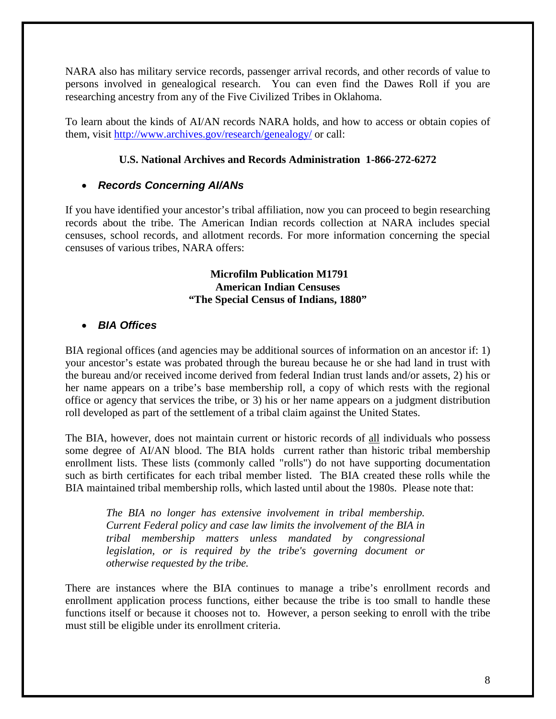NARA also has military service records, passenger arrival records, and other records of value to persons involved in genealogical research. You can even find the Dawes Roll if you are researching ancestry from any of the Five Civilized Tribes in Oklahoma.

To learn about the kinds of AI/AN records NARA holds, and how to access or obtain copies of them, visit<http://www.archives.gov/research/genealogy/> or call:

#### **U.S. National Archives and Records Administration 1-866-272-6272**

#### • *Records Concerning AI/ANs*

If you have identified your ancestor's tribal affiliation, now you can proceed to begin researching records about the tribe. The American Indian records collection at NARA includes special censuses, school records, and allotment records. For more information concerning the special censuses of various tribes, NARA offers:

#### **Microfilm Publication M1791 American Indian Censuses "The Special Census of Indians, 1880"**

#### • *BIA Offices*

BIA regional offices (and agencies may be additional sources of information on an ancestor if: 1) your ancestor's estate was probated through the bureau because he or she had land in trust with the bureau and/or received income derived from federal Indian trust lands and/or assets, 2) his or her name appears on a tribe's base membership roll, a copy of which rests with the regional office or agency that services the tribe, or 3) his or her name appears on a judgment distribution roll developed as part of the settlement of a tribal claim against the United States.

The BIA, however, does not maintain current or historic records of all individuals who possess some degree of AI/AN blood. The BIA holds current rather than historic tribal membership enrollment lists. These lists (commonly called "rolls") do not have supporting documentation such as birth certificates for each tribal member listed. The BIA created these rolls while the BIA maintained tribal membership rolls, which lasted until about the 1980s. Please note that:

*The BIA no longer has extensive involvement in tribal membership. Current Federal policy and case law limits the involvement of the BIA in tribal membership matters unless mandated by congressional legislation, or is required by the tribe's governing document or otherwise requested by the tribe.*

There are instances where the BIA continues to manage a tribe's enrollment records and enrollment application process functions, either because the tribe is too small to handle these functions itself or because it chooses not to. However, a person seeking to enroll with the tribe must still be eligible under its enrollment criteria.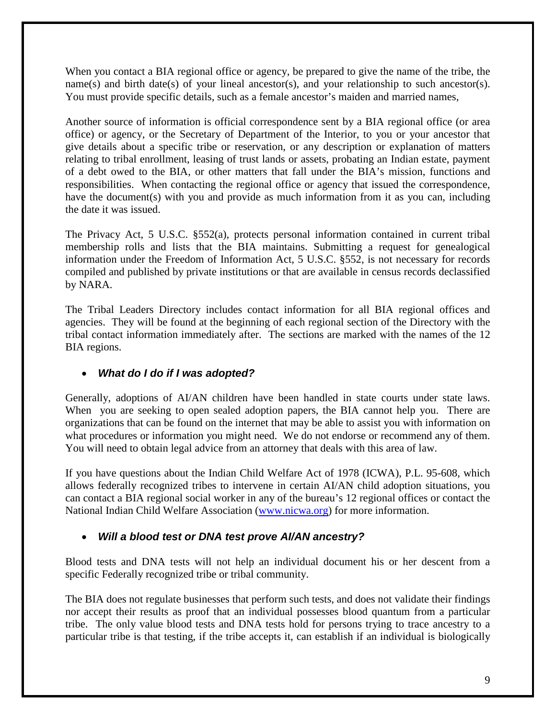When you contact a BIA regional office or agency, be prepared to give the name of the tribe, the name(s) and birth date(s) of your lineal ancestor(s), and your relationship to such ancestor(s). You must provide specific details, such as a female ancestor's maiden and married names,

Another source of information is official correspondence sent by a BIA regional office (or area office) or agency, or the Secretary of Department of the Interior, to you or your ancestor that give details about a specific tribe or reservation, or any description or explanation of matters relating to tribal enrollment, leasing of trust lands or assets, probating an Indian estate, payment of a debt owed to the BIA, or other matters that fall under the BIA's mission, functions and responsibilities. When contacting the regional office or agency that issued the correspondence, have the document(s) with you and provide as much information from it as you can, including the date it was issued.

The Privacy Act, 5 U.S.C. §552(a), protects personal information contained in current tribal membership rolls and lists that the BIA maintains. Submitting a request for genealogical information under the Freedom of Information Act, 5 U.S.C. §552, is not necessary for records compiled and published by private institutions or that are available in census records declassified by NARA.

The Tribal Leaders Directory includes contact information for all BIA regional offices and agencies. They will be found at the beginning of each regional section of the Directory with the tribal contact information immediately after. The sections are marked with the names of the 12 BIA regions.

## • *What do I do if I was adopted?*

Generally, adoptions of AI/AN children have been handled in state courts under state laws. When you are seeking to open sealed adoption papers, the BIA cannot help you. There are organizations that can be found on the internet that may be able to assist you with information on what procedures or information you might need. We do not endorse or recommend any of them. You will need to obtain legal advice from an attorney that deals with this area of law.

If you have questions about the Indian Child Welfare Act of 1978 (ICWA), P.L. 95-608, which allows federally recognized tribes to intervene in certain AI/AN child adoption situations, you can contact a BIA regional social worker in any of the bureau's 12 regional offices or contact the National Indian Child Welfare Association [\(www.nicwa.org\)](http://www.nicwa.org/) for more information.

## • *Will a blood test or DNA test prove AI/AN ancestry?*

Blood tests and DNA tests will not help an individual document his or her descent from a specific Federally recognized tribe or tribal community.

The BIA does not regulate businesses that perform such tests, and does not validate their findings nor accept their results as proof that an individual possesses blood quantum from a particular tribe. The only value blood tests and DNA tests hold for persons trying to trace ancestry to a particular tribe is that testing, if the tribe accepts it, can establish if an individual is biologically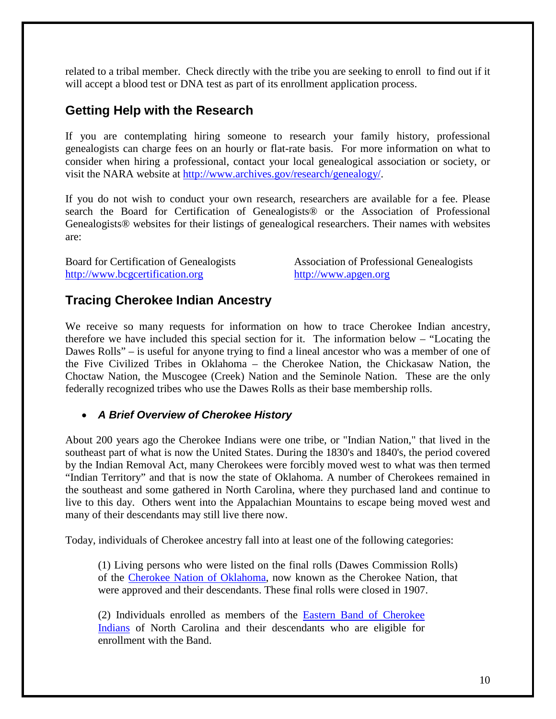related to a tribal member. Check directly with the tribe you are seeking to enroll to find out if it will accept a blood test or DNA test as part of its enrollment application process.

## **Getting Help with the Research**

If you are contemplating hiring someone to research your family history, professional genealogists can charge fees on an hourly or flat-rate basis. For more information on what to consider when hiring a professional, contact your local genealogical association or society, or visit the NARA website at [http://www.archives.gov/research/genealogy/.](http://www.archives.gov/research/genealogy/)

If you do not wish to conduct your own research, researchers are available for a fee. Please search the Board for Certification of Genealogists® or the Association of Professional Genealogists® websites for their listings of genealogical researchers. Their names with websites are:

[http://www.bcgcertification.org](http://www.bcgcertification.org/) [http://www.apgen.org](http://www.apgen.org/)

Board for Certification of Genealogists Association of Professional Genealogists

## **Tracing Cherokee Indian Ancestry**

We receive so many requests for information on how to trace Cherokee Indian ancestry, therefore we have included this special section for it. The information below – "Locating the Dawes Rolls" – is useful for anyone trying to find a lineal ancestor who was a member of one of the Five Civilized Tribes in Oklahoma – the Cherokee Nation, the Chickasaw Nation, the Choctaw Nation, the Muscogee (Creek) Nation and the Seminole Nation. These are the only federally recognized tribes who use the Dawes Rolls as their base membership rolls.

#### • *A Brief Overview of Cherokee History*

About 200 years ago the Cherokee Indians were one tribe, or "Indian Nation," that lived in the southeast part of what is now the United States. During the 1830's and 1840's, the period covered by the Indian Removal Act, many Cherokees were forcibly moved west to what was then termed "Indian Territory" and that is now the state of Oklahoma. A number of Cherokees remained in the southeast and some gathered in North Carolina, where they purchased land and continue to live to this day. Others went into the Appalachian Mountains to escape being moved west and many of their descendants may still live there now.

Today, individuals of Cherokee ancestry fall into at least one of the following categories:

(1) Living persons who were listed on the final rolls (Dawes Commission Rolls) of the [Cherokee Nation of Oklahoma](http://www.cherokee.org/), now known as the Cherokee Nation, that were approved and their descendants. These final rolls were closed in 1907.

(2) Individuals enrolled as members of the **Eastern Band** of Cherokee [Indians](http://www.cherokee-nc.com/) of North Carolina and their descendants who are eligible for enrollment with the Band.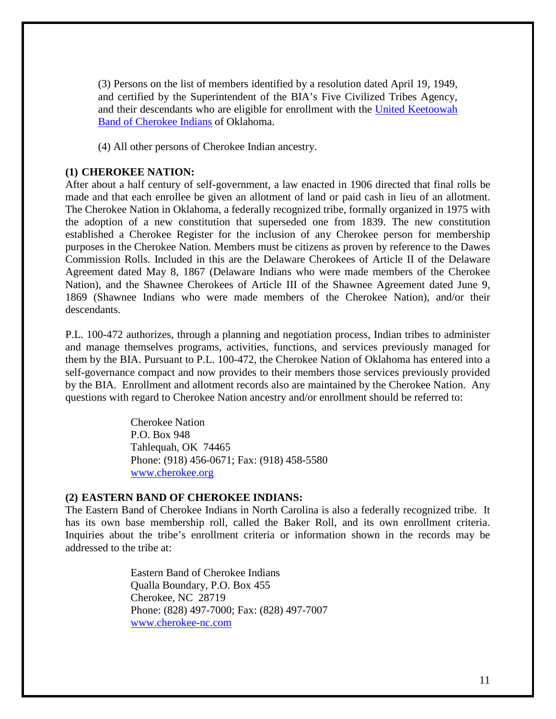(3) Persons on the list of members identified by a resolution dated April 19, 1949, and certified by the Superintendent of the BIA's Five Civilized Tribes Agency, and their descendants who are eligible for enrollment with the United Keetoowah [Band of Cherokee Indians](http://www.keetoowahcherokee.org/) of Oklahoma.

(4) All other persons of Cherokee Indian ancestry.

#### **(1) CHEROKEE NATION:**

After about a half century of self-government, a law enacted in 1906 directed that final rolls be made and that each enrollee be given an allotment of land or paid cash in lieu of an allotment. The Cherokee Nation in Oklahoma, a federally recognized tribe, formally organized in 1975 with the adoption of a new constitution that superseded one from 1839. The new constitution established a Cherokee Register for the inclusion of any Cherokee person for membership purposes in the Cherokee Nation. Members must be citizens as proven by reference to the Dawes Commission Rolls. Included in this are the Delaware Cherokees of Article II of the Delaware Agreement dated May 8, 1867 (Delaware Indians who were made members of the Cherokee Nation), and the Shawnee Cherokees of Article III of the Shawnee Agreement dated June 9, 1869 (Shawnee Indians who were made members of the Cherokee Nation), and/or their descendants.

P.L. 100-472 authorizes, through a planning and negotiation process, Indian tribes to administer and manage themselves programs, activities, functions, and services previously managed for them by the BIA. Pursuant to P.L. 100-472, the Cherokee Nation of Oklahoma has entered into a self-governance compact and now provides to their members those services previously provided by the BIA. Enrollment and allotment records also are maintained by the Cherokee Nation. Any questions with regard to Cherokee Nation ancestry and/or enrollment should be referred to:

> Cherokee Nation P.O. Box 948 Tahlequah, OK 74465 Phone: (918) 456-0671; Fax: (918) 458-5580 [www.cherokee.org](http://www.cherokee.org/)

#### **(2) EASTERN BAND OF CHEROKEE INDIANS:**

The Eastern Band of Cherokee Indians in North Carolina is also a federally recognized tribe. It has its own base membership roll, called the Baker Roll, and its own enrollment criteria. Inquiries about the tribe's enrollment criteria or information shown in the records may be addressed to the tribe at:

> Eastern Band of Cherokee Indians Qualla Boundary, P.O. Box 455 Cherokee, NC 28719 Phone: (828) 497-7000; Fax: (828) 497-7007 [www.cherokee-nc.com](http://www.cherokee-nc.com/)